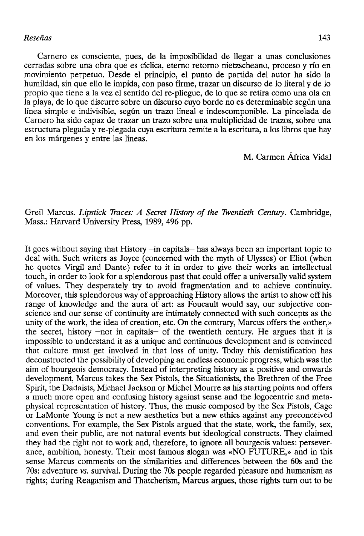Carnero es consciente, pues, de la imposibilidad de llegar a unas conclusiones cerradas sobre una obra que es cíclica, eterno retorno nietzscheano, proceso y río en movimiento perpetuo. Desde el principio, el punto de partida del autor ha sido la humildad, sin que ello le impida, con paso firme, trazar un discurso de lo literal y de lo propio que tiene a la vez el sentido del re-pliegue, de lo que se retira como una ola en la playa, de lo que discurre sobre un discurso cuyo borde no es determinable según una línea simple e indivisible, según un trazo lineal e indescomponible. La pincelada de Carnero ha sido capaz de trazar un trazo sobre una multiplicidad de trazos, sobre una estructura plegada y re-plegada cuya escritura remite a la escritura, a los libros que hay en los márgenes y entre las líneas.

M. Carmen África Vidal

Greil Marcus. *Lipstick Traces: A Secret History of the Twentieth Century.* Cambridge, Mass.: Harvard University Press, 1989, 496 pp.

It goes without saying that History —in capitals— has always been an important topic to deal with. Such writers as Joyce (concerned with the myth of Ulysses) or Eliot (when he quotes Virgil and Dante) refer to it in order to give their works an intellectual touch, in order to look for a splendorous past that could offer a universally valid system of valúes. They desperately try to avoid fragmentation and to achieve continuity. Moreover, this splendorous way of approaching History allows the artist to show off his range of knowledge and the aura of art: as Foucault would say, our subjective conscience and our sense of continuity are intimately connected with such concepts as the unity of the work, the idea of creation, etc. On the contrary, Marcus offers the «other,» the secret, history  $-$ not in capitals $-$  of the twentieth century. He argues that it is impossible to understand it as a unique and continuous development and is convinced that culture must get involved in that loss of unity. Today this demistification has deconstructed the possibility of developing an endless economic progress, which was the aim of bourgeois democracy. Instead of interpreting history as a positive and onwards development, Marcus takes the Sex Pistols, the Situationists, the Brethren of the Free Spirit, the Dadaists, Michael Jackson qr Michel Mourre as his starting points and offers a much more open and confusing history against sense and the logocentric and metaphysical representation of history. Thus, the music composed by the Sex Pistols, Cage or LaMonte Young is not a new aesthetics but a new ethics against any preconceived conventions. For example, the Sex Pistols argued that the state, work, the family, sex, and even their public, are not natural events but ideological constructs. They claimed they had the right not to work and, therefore, to ignore all bourgeois valúes: perseverance, ambition, honesty. Their most famous slogan was «NO FUTURE,» and in this sense Marcus comments on the similarities and differences between the 60s and the 70s: adventure *vs.* survival. During the 70s people regarded pleasure and humanism as rights; during Reaganism and Thatcherism, Marcus argües, those rights turn out to be